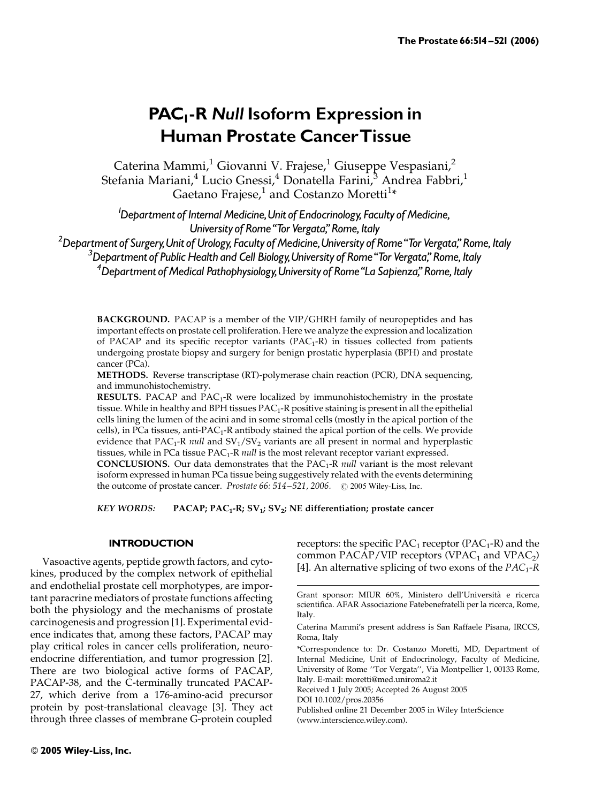# PAC<sub>1</sub>-R Null Isoform Expression in Human Prostate CancerTissue

Caterina Mammi, $^1$  Giovanni V. Frajese, $^1$  Giuseppe Vespasiani, $^2$ Stefania Mariani,<sup>4</sup> Lucio Gnessi,<sup>4</sup> Donatella Farini,<sup>3</sup> Andrea Fabbri,<sup>1</sup> Gaetano Frajese, $^1$  and Costanzo Moretti $^{1\ast}$ 

<sup>1</sup>Department of Internal Medicine, Unit of Endocrinology, Faculty of Medicine, University of Rome "Tor Vergata," Rome, Italy

 $^2$ Department of Surgery, Unit of Urology, Faculty of Medicine, University of Rome "Tor Vergata," Rome, Italy

<sup>3</sup>Department of Public Health and Cell Biology, University of Rome "Tor Vergata," Rome, Italy

 $^4$ Department of Medical Pathophysiology, University of Rome "La Sapienza," Rome, Italy

BACKGROUND. PACAP is a member of the VIP/GHRH family of neuropeptides and has important effects on prostate cell proliferation. Here we analyze the expression and localization of PACAP and its specific receptor variants  $(PAC_1-R)$  in tissues collected from patients undergoing prostate biopsy and surgery for benign prostatic hyperplasia (BPH) and prostate cancer (PCa).

METHODS. Reverse transcriptase (RT)-polymerase chain reaction (PCR), DNA sequencing, and immunohistochemistry.

**RESULTS.** PACAP and  $PAC_1-R$  were localized by immunohistochemistry in the prostate tissue. While in healthy and BPH tissues PAC<sub>1</sub>-R positive staining is present in all the epithelial cells lining the lumen of the acini and in some stromal cells (mostly in the apical portion of the cells), in PCa tissues, anti-PAC<sub>1</sub>-R antibody stained the apical portion of the cells. We provide evidence that  $PAC_1$ -R *null* and  $SV_1/SV_2$  variants are all present in normal and hyperplastic tissues, while in PCa tissue  $PAC_1$ -R null is the most relevant receptor variant expressed.

**CONCLUSIONS.** Our data demonstrates that the  $PAC_1$ -R *null variant is the most relevant* isoform expressed in human PCa tissue being suggestively related with the events determining the outcome of prostate cancer. *Prostate 66: 514–521, 2006.*  $\oslash$  2005 Wiley-Liss, Inc.

KEY WORDS: PACAP;  $PAC_1-R$ ;  $SV_1$ ;  $SV_2$ ; NE differentiation; prostate cancer

## **INTRODUCTION**

Vasoactive agents, peptide growth factors, and cytokines, produced by the complex network of epithelial and endothelial prostate cell morphotypes, are important paracrine mediators of prostate functions affecting both the physiology and the mechanisms of prostate carcinogenesis and progression [1]. Experimental evidence indicates that, among these factors, PACAP may play critical roles in cancer cells proliferation, neuroendocrine differentiation, and tumor progression [2]. There are two biological active forms of PACAP, PACAP-38, and the C-terminally truncated PACAP-27, which derive from a 176-amino-acid precursor protein by post-translational cleavage [3]. They act through three classes of membrane G-protein coupled

receptors: the specific  $PAC_1$  receptor ( $PAC_1$ -R) and the common PACAP/VIP receptors (VPAC<sub>1</sub> and VPAC<sub>2</sub>) [4]. An alternative splicing of two exons of the  $PAC_1-R$ 

Received 1 July 2005; Accepted 26 August 2005

DOI 10.1002/pros.20356

Published online 21 December 2005 in Wiley InterScience (www.interscience.wiley.com).

Grant sponsor: MIUR 60%, Ministero dell'Universita` e ricerca scientifica. AFAR Associazione Fatebenefratelli per la ricerca, Rome, Italy.

Caterina Mammi's present address is San Raffaele Pisana, IRCCS, Roma, Italy

<sup>\*</sup>Correspondence to: Dr. Costanzo Moretti, MD, Department of Internal Medicine, Unit of Endocrinology, Faculty of Medicine, University of Rome ''Tor Vergata'', Via Montpellier 1, 00133 Rome, Italy. E-mail: moretti@med.uniroma2.it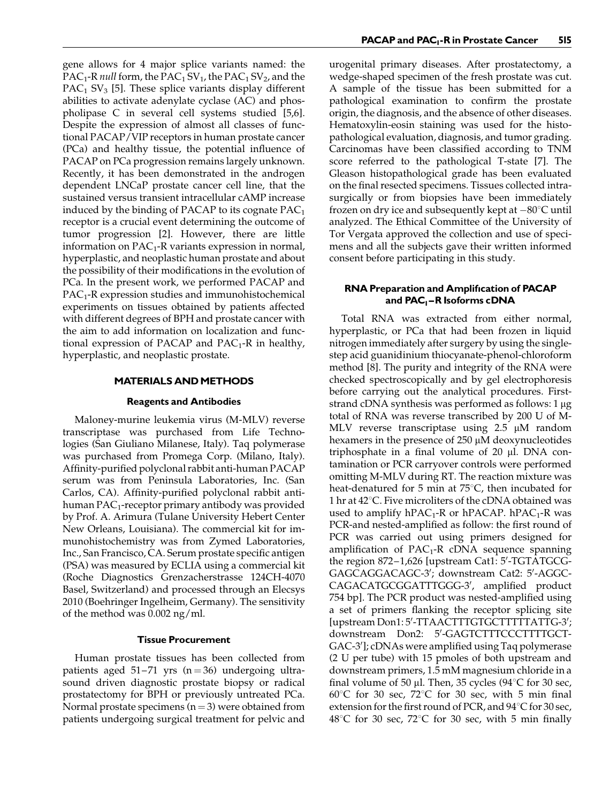gene allows for 4 major splice variants named: the PAC<sub>1</sub>-R *null* form, the PAC<sub>1</sub> SV<sub>1</sub>, the PAC<sub>1</sub> SV<sub>2</sub>, and the PAC<sub>1</sub> SV<sub>3</sub> [5]. These splice variants display different abilities to activate adenylate cyclase (AC) and phospholipase C in several cell systems studied [5,6]. Despite the expression of almost all classes of functional PACAP/VIP receptors in human prostate cancer (PCa) and healthy tissue, the potential influence of PACAP on PCa progression remains largely unknown. Recently, it has been demonstrated in the androgen dependent LNCaP prostate cancer cell line, that the sustained versus transient intracellular cAMP increase induced by the binding of PACAP to its cognate  $PAC<sub>1</sub>$ receptor is a crucial event determining the outcome of tumor progression [2]. However, there are little information on  $PAC_1$ -R variants expression in normal, hyperplastic, and neoplastic human prostate and about the possibility of their modifications in the evolution of PCa. In the present work, we performed PACAP and  $PAC<sub>1</sub>$ -R expression studies and immunohistochemical experiments on tissues obtained by patients affected with different degrees of BPH and prostate cancer with the aim to add information on localization and functional expression of PACAP and  $PAC_1-R$  in healthy, hyperplastic, and neoplastic prostate.

## **MATERIALS AND METHODS**

## Reagents and Antibodies

Maloney-murine leukemia virus (M-MLV) reverse transcriptase was purchased from Life Technologies (San Giuliano Milanese, Italy). Taq polymerase was purchased from Promega Corp. (Milano, Italy). Affinity-purified polyclonal rabbit anti-human PACAP serum was from Peninsula Laboratories, Inc. (San Carlos, CA). Affinity-purified polyclonal rabbit antihuman  $PAC_1$ -receptor primary antibody was provided by Prof. A. Arimura (Tulane University Hebert Center New Orleans, Louisiana). The commercial kit for immunohistochemistry was from Zymed Laboratories, Inc., San Francisco, CA. Serum prostate specific antigen (PSA) was measured by ECLIA using a commercial kit (Roche Diagnostics Grenzacherstrasse 124CH-4070 Basel, Switzerland) and processed through an Elecsys 2010 (Boehringer Ingelheim, Germany). The sensitivity of the method was 0.002 ng/ml.

## Tissue Procurement

Human prostate tissues has been collected from patients aged 51–71 yrs  $(n = 36)$  undergoing ultrasound driven diagnostic prostate biopsy or radical prostatectomy for BPH or previously untreated PCa. Normal prostate specimens  $(n = 3)$  were obtained from patients undergoing surgical treatment for pelvic and urogenital primary diseases. After prostatectomy, a wedge-shaped specimen of the fresh prostate was cut. A sample of the tissue has been submitted for a pathological examination to confirm the prostate origin, the diagnosis, and the absence of other diseases. Hematoxylin-eosin staining was used for the histopathological evaluation, diagnosis, and tumor grading. Carcinomas have been classified according to TNM score referred to the pathological T-state [7]. The Gleason histopathological grade has been evaluated on the final resected specimens. Tissues collected intrasurgically or from biopsies have been immediately frozen on dry ice and subsequently kept at  $-80^{\circ}$ C until analyzed. The Ethical Committee of the University of Tor Vergata approved the collection and use of specimens and all the subjects gave their written informed consent before participating in this study.

# RNA Preparation and Amplification of PACAP and PAC<sub>1</sub>-R Isoforms cDNA

Total RNA was extracted from either normal, hyperplastic, or PCa that had been frozen in liquid nitrogen immediately after surgery by using the singlestep acid guanidinium thiocyanate-phenol-chloroform method [8]. The purity and integrity of the RNA were checked spectroscopically and by gel electrophoresis before carrying out the analytical procedures. Firststrand cDNA synthesis was performed as follows: 1 µg total of RNA was reverse transcribed by 200 U of M-MLV reverse transcriptase using 2.5 µM random hexamers in the presence of  $250 \mu M$  deoxynucleotides triphosphate in a final volume of  $20 \mu$ l. DNA contamination or PCR carryover controls were performed omitting M-MLV during RT. The reaction mixture was heat-denatured for 5 min at  $75^{\circ}$ C, then incubated for 1 hr at 42°C. Five microliters of the cDNA obtained was used to amplify  $hPAC_1-R$  or  $hPACAP$ .  $hPAC_1-R$  was PCR-and nested-amplified as follow: the first round of PCR was carried out using primers designed for amplification of  $PAC_1-R$  cDNA sequence spanning the region 872-1,626 [upstream Cat1: 5'-TGTATGCG-GAGCAGGACAGC-3'; downstream Cat2: 5'-AGGC-CAGACATGCGGATTTGGG-3', amplified product 754 bp]. The PCR product was nested-amplified using a set of primers flanking the receptor splicing site [upstream Don1:5'-TTAACTTTGTGCTTTTTATTG-3'; downstream Don2: 5'-GAGTCTTTCCCTTTTGCT-GAC-3']; cDNAs were amplified using Taq polymerase (2 U per tube) with 15 pmoles of both upstream and downstream primers, 1.5 mM magnesium chloride in a final volume of 50 µl. Then, 35 cycles  $(94^{\circ}C)$  for 30 sec,  $60^{\circ}$ C for 30 sec,  $72^{\circ}$ C for 30 sec, with 5 min final extension for the first round of PCR, and  $94^{\circ}$ C for 30 sec,  $48^{\circ}$ C for 30 sec, 72 $^{\circ}$ C for 30 sec, with 5 min finally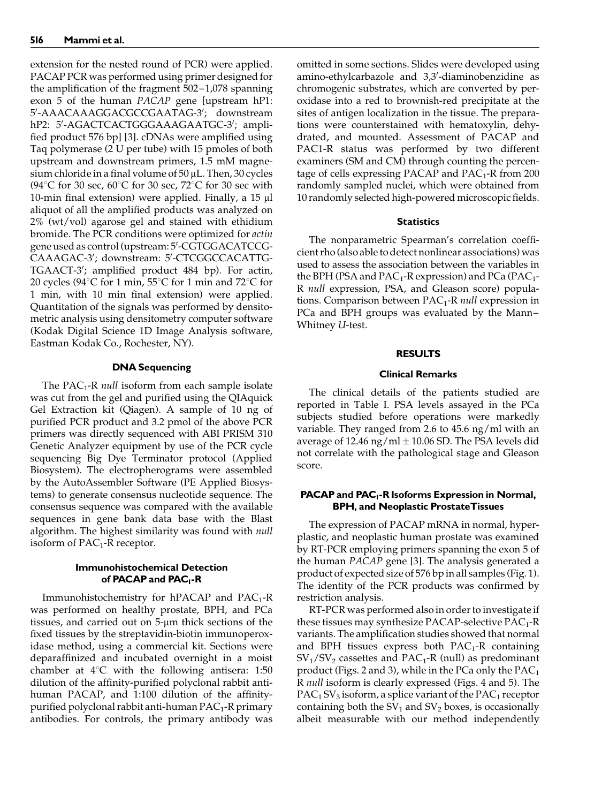extension for the nested round of PCR) were applied. PACAP PCR was performed using primer designed for the amplification of the fragment 502–1,078 spanning exon 5 of the human PACAP gene [upstream hP1: 5'-AAACAAAGGACGCCGAATAG-3'; downstream hP2: 5'-AGACTCACTGGGAAAGAATGC-3'; amplified product 576 bp] [3]. cDNAs were amplified using Taq polymerase (2 U per tube) with 15 pmoles of both upstream and downstream primers, 1.5 mM magnesium chloride in a final volume of  $50 \mu L$ . Then,  $30$  cycles (94 $\degree$ C for 30 sec, 60 $\degree$ C for 30 sec, 72 $\degree$ C for 30 sec with 10-min final extension) were applied. Finally, a  $15 \mu l$ aliquot of all the amplified products was analyzed on 2% (wt/vol) agarose gel and stained with ethidium bromide. The PCR conditions were optimized for actin gene used as control (upstream: 5'-CGTGGACATCCG-CAAAGAC-3'; downstream: 5'-CTCGGCCACATTG-TGAACT-3'; amplified product 484 bp). For actin, 20 cycles (94 $^{\circ}$ C for 1 min, 55 $^{\circ}$ C for 1 min and 72 $^{\circ}$ C for 1 min, with 10 min final extension) were applied. Quantitation of the signals was performed by densitometric analysis using densitometry computer software (Kodak Digital Science 1D Image Analysis software, Eastman Kodak Co., Rochester, NY).

## DNA Sequencing

The PAC<sub>1</sub>-R *null* isoform from each sample isolate was cut from the gel and purified using the QIAquick Gel Extraction kit (Qiagen). A sample of 10 ng of purified PCR product and 3.2 pmol of the above PCR primers was directly sequenced with ABI PRISM 310 Genetic Analyzer equipment by use of the PCR cycle sequencing Big Dye Terminator protocol (Applied Biosystem). The electropherograms were assembled by the AutoAssembler Software (PE Applied Biosystems) to generate consensus nucleotide sequence. The consensus sequence was compared with the available sequences in gene bank data base with the Blast algorithm. The highest similarity was found with *null* isoform of  $PAC_1$ -R receptor.

# Immunohistochemical Detection of PACAP and PAC<sub>1</sub>-R

Immunohistochemistry for hPACAP and PAC<sub>1</sub>-R was performed on healthy prostate, BPH, and PCa tissues, and carried out on 5-µm thick sections of the fixed tissues by the streptavidin-biotin immunoperoxidase method, using a commercial kit. Sections were deparaffinized and incubated overnight in a moist chamber at  $4^{\circ}$ C with the following antisera: 1:50 dilution of the affinity-purified polyclonal rabbit antihuman PACAP, and 1:100 dilution of the affinitypurified polyclonal rabbit anti-human  $PAC_1$ -R primary antibodies. For controls, the primary antibody was omitted in some sections. Slides were developed using amino-ethylcarbazole and 3,3'-diaminobenzidine as chromogenic substrates, which are converted by peroxidase into a red to brownish-red precipitate at the sites of antigen localization in the tissue. The preparations were counterstained with hematoxylin, dehydrated, and mounted. Assessment of PACAP and PAC1-R status was performed by two different examiners (SM and CM) through counting the percentage of cells expressing PACAP and  $PAC_{1}$ -R from 200 randomly sampled nuclei, which were obtained from 10 randomly selected high-powered microscopic fields.

#### **Statistics**

The nonparametric Spearman's correlation coefficient rho (also able to detect nonlinear associations) was used to assess the association between the variables in the BPH (PSA and  $PAC_1$ -R expression) and PCa (PAC<sub>1</sub>-R null expression, PSA, and Gleason score) populations. Comparison between  $PAC_1-R$  null expression in PCa and BPH groups was evaluated by the Mann– Whitney U-test.

#### RESULTS

## Clinical Remarks

The clinical details of the patients studied are reported in Table I. PSA levels assayed in the PCa subjects studied before operations were markedly variable. They ranged from 2.6 to 45.6 ng/ml with an average of 12.46 ng/ml  $\pm$  10.06 SD. The PSA levels did not correlate with the pathological stage and Gleason score.

# PACAP and PAC<sub>1</sub>-R Isoforms Expression in Normal, BPH, and Neoplastic ProstateTissues

The expression of PACAP mRNA in normal, hyperplastic, and neoplastic human prostate was examined by RT-PCR employing primers spanning the exon 5 of the human PACAP gene [3]. The analysis generated a product of expected size of 576 bp in all samples (Fig. 1). The identity of the PCR products was confirmed by restriction analysis.

RT-PCR was performed also in order to investigate if these tissues may synthesize PACAP-selective  $PAC_1-R$ variants. The amplification studies showed that normal and BPH tissues express both  $PAC_1-R$  containing  $SV_1/SV_2$  cassettes and PAC<sub>1</sub>-R (null) as predominant product (Figs. 2 and 3), while in the PCa only the  $PAC_1$ R null isoform is clearly expressed (Figs. 4 and 5). The  $PAC<sub>1</sub>SV<sub>3</sub>$  isoform, a splice variant of the  $PAC<sub>1</sub>$  receptor containing both the  $SV_1$  and  $SV_2$  boxes, is occasionally albeit measurable with our method independently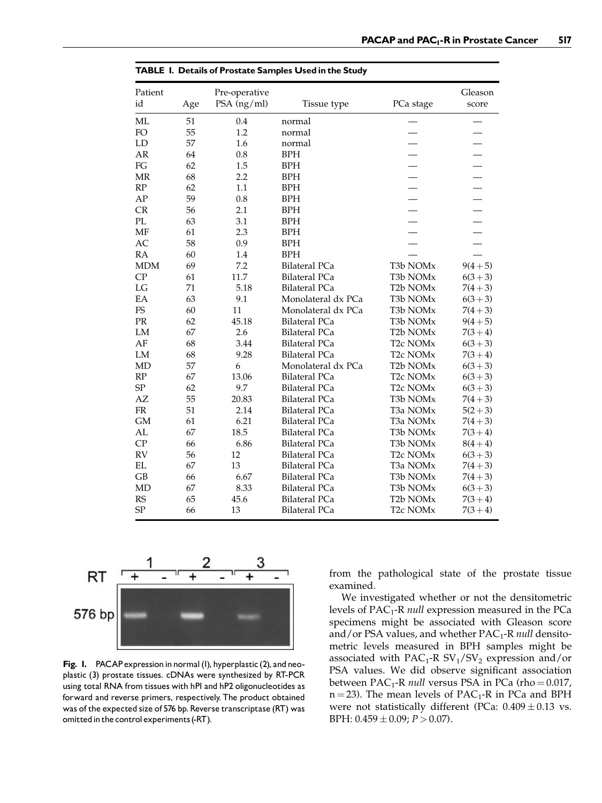| <b>IADLE 1. Details of Frostate Saffiples Osed in the Study</b> |     |               |                      |                                   |            |  |
|-----------------------------------------------------------------|-----|---------------|----------------------|-----------------------------------|------------|--|
| Patient                                                         |     | Pre-operative |                      |                                   | Gleason    |  |
| id                                                              | Age | PSA (ng/ml)   | Tissue type          | PCa stage                         | score      |  |
| ML                                                              | 51  | 0.4           | normal               |                                   |            |  |
| FO                                                              | 55  | 1.2           | normal               |                                   |            |  |
| LD                                                              | 57  | 1.6           | normal               |                                   |            |  |
| AR                                                              | 64  | 0.8           | <b>BPH</b>           |                                   |            |  |
| FG                                                              | 62  | 1.5           | <b>BPH</b>           |                                   |            |  |
| MR                                                              | 68  | 2.2           | <b>BPH</b>           |                                   |            |  |
| RP                                                              | 62  | 1.1           | <b>BPH</b>           |                                   |            |  |
| AP                                                              | 59  | 0.8           | <b>BPH</b>           |                                   |            |  |
| CR                                                              | 56  | 2.1           | <b>BPH</b>           |                                   |            |  |
| $\mathbf{PL}$                                                   | 63  | 3.1           | <b>BPH</b>           |                                   |            |  |
| MF                                                              | 61  | 2.3           | <b>BPH</b>           |                                   |            |  |
| AC                                                              | 58  | 0.9           | <b>BPH</b>           |                                   |            |  |
| RA                                                              | 60  | 1.4           | <b>BPH</b>           |                                   |            |  |
| <b>MDM</b>                                                      | 69  | 7.2           | <b>Bilateral PCa</b> | T <sub>3</sub> b NOM <sub>x</sub> | $9(4+5)$   |  |
| CP                                                              | 61  | 11.7          | <b>Bilateral PCa</b> | T3b NOMx                          | $6(3+3)$   |  |
| LG                                                              | 71  | 5.18          | <b>Bilateral PCa</b> | T <sub>2</sub> b NOM <sub>x</sub> | $7(4+3)$   |  |
| EA                                                              | 63  | 9.1           | Monolateral dx PCa   | T3b NOMx                          | $6(3+3)$   |  |
| FS                                                              | 60  | 11            | Monolateral dx PCa   | T <sub>3</sub> b NOM <sub>x</sub> | $7(4+3)$   |  |
| PR                                                              | 62  | 45.18         | <b>Bilateral PCa</b> | T3b NOMx                          | $9(4+5)$   |  |
| ${\rm LM}$                                                      | 67  | 2.6           | <b>Bilateral PCa</b> | T <sub>2</sub> b NOM <sub>x</sub> | $7(3 + 4)$ |  |
| AF                                                              | 68  | 3.44          | <b>Bilateral PCa</b> | T <sub>2</sub> c NOM <sub>x</sub> | $6(3+3)$   |  |
| LM                                                              | 68  | 9.28          | <b>Bilateral PCa</b> | T <sub>2</sub> c NOM <sub>x</sub> | $7(3 + 4)$ |  |
| MD                                                              | 57  | 6             | Monolateral dx PCa   | T <sub>2</sub> b NOM <sub>x</sub> | $6(3+3)$   |  |
| RP                                                              | 67  | 13.06         | <b>Bilateral PCa</b> | T <sub>2</sub> c NOM <sub>x</sub> | $6(3+3)$   |  |
| SP                                                              | 62  | 9.7           | <b>Bilateral PCa</b> | T <sub>2</sub> c NOM <sub>x</sub> | $6(3+3)$   |  |
| AZ                                                              | 55  | 20.83         | <b>Bilateral PCa</b> | T3b NOMx                          | $7(4+3)$   |  |
| FR                                                              | 51  | 2.14          | <b>Bilateral PCa</b> | T3a NOMx                          | $5(2+3)$   |  |
| <b>GM</b>                                                       | 61  | 6.21          | <b>Bilateral PCa</b> | T <sub>3</sub> a NOM <sub>x</sub> | $7(4+3)$   |  |
| AL                                                              | 67  | 18.5          | <b>Bilateral PCa</b> | T3b NOMx                          | $7(3 + 4)$ |  |
| CP                                                              | 66  | 6.86          | <b>Bilateral PCa</b> | T3b NOMx                          | $8(4+4)$   |  |
| <b>RV</b>                                                       | 56  | 12            | <b>Bilateral PCa</b> | T <sub>2</sub> c NOM <sub>x</sub> | $6(3+3)$   |  |
| EL                                                              | 67  | 13            | Bilateral PCa        | T <sub>3</sub> a NOM <sub>x</sub> | $7(4+3)$   |  |
| GB                                                              | 66  | 6.67          | <b>Bilateral PCa</b> | T3b NOMx                          | $7(4+3)$   |  |
| MD                                                              | 67  | 8.33          | <b>Bilateral PCa</b> | T3b NOMx                          | $6(3+3)$   |  |
| <b>RS</b>                                                       | 65  | 45.6          | Bilateral PCa        | T <sub>2</sub> b NOM <sub>x</sub> | $7(3 + 4)$ |  |
| SP                                                              | 66  | 13            | <b>Bilateral PCa</b> | T <sub>2</sub> c NOM <sub>x</sub> | $7(3 + 4)$ |  |

| <b>TABLE I. Details of Prostate Samples Used in the Study</b> |  |
|---------------------------------------------------------------|--|
|                                                               |  |



Fig. I. PACAP expression in normal (I), hyperplastic (2), and neoplastic (3) prostate tissues. cDNAs were synthesized by RT-PCR using total RNA from tissues with hP1 and hP2 oligonucleotides as forward and reverse primers, respectively. The product obtained was of the expected size of 576 bp. Reverse transcriptase (RT) was omittedin the control experiments (-RT).

from the pathological state of the prostate tissue examined.

We investigated whether or not the densitometric levels of  $PAC_1-R$  *null* expression measured in the PCa specimens might be associated with Gleason score and/or PSA values, and whether  $PAC_1$ -R null densitometric levels measured in BPH samples might be associated with  $PAC_1-R SV_1/SV_2$  expression and/or PSA values. We did observe significant association between PAC<sub>1</sub>-R *null* versus PSA in PCa (rho =  $0.017$ ,  $n = 23$ ). The mean levels of PAC<sub>1</sub>-R in PCa and BPH were not statistically different (PCa:  $0.409 \pm 0.13$  vs. BPH:  $0.459 \pm 0.09$ ;  $P > 0.07$ ).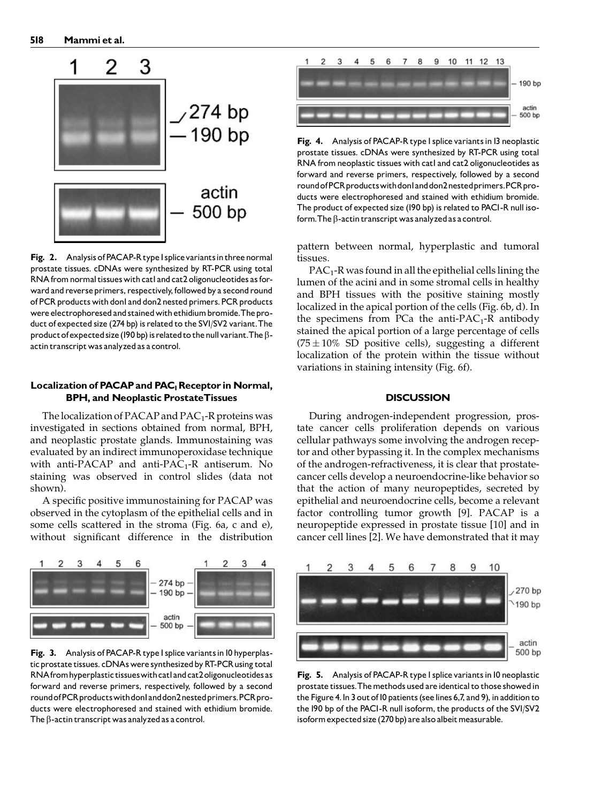

Fig. 2. Analysis of PACAP-R type I splice variants in three normal prostate tissues. cDNAs were synthesized by RT-PCR using total RNA from normal tissues with catl and cat2 oligonucleotides as forward and reverse primers, respectively, followed by a second round of PCR products with donl and don2 nested primers. PCR products were electrophoresed and stained with ethidium bromide. The product of expected size (274 bp) is related to the SV1/SV2 variant.The product of expected size (190 bp) is related to the null variant. The  $\beta$ actin transcript was analyzed as a control.

# Localization of PACAP and PAC<sub>1</sub> Receptor in Normal, BPH, and Neoplastic ProstateTissues

The localization of PACAP and  $PAC_1$ -R proteins was investigated in sections obtained from normal, BPH, and neoplastic prostate glands. Immunostaining was evaluated by an indirect immunoperoxidase technique with anti-PACAP and anti-PAC<sub>1</sub>-R antiserum. No staining was observed in control slides (data not shown).

A specific positive immunostaining for PACAP was observed in the cytoplasm of the epithelial cells and in some cells scattered in the stroma (Fig. 6a, c and e), without significant difference in the distribution



Fig. 3. Analysis of PACAP-R type I splice variants in 10 hyperplastic prostate tissues. cDNAs were synthesized by RT-PCR using total RNAfromhyperplastic tissueswithcat1andcat2oligonucleotidesas forward and reverse primers, respectively, followed by a second round of PCR products with donl and don2nested primers. PCR products were electrophoresed and stained with ethidium bromide. The  $\beta$ -actin transcript was analyzed as a control.



Fig. 4. Analysis of PACAP-R type I splice variants in 13 neoplastic prostate tissues. cDNAs were synthesized by RT-PCR using total RNA from neoplastic tissues with catl and cat2 oligonucleotides as forward and reverse primers, respectively, followed by a second round of PCR products with donland don2nested primers. PCR products were electrophoresed and stained with ethidium bromide. The product of expected size (190 bp) is related to PAC1-R null isoform. The  $\beta$ -actin transcript was analyzed as a control.

pattern between normal, hyperplastic and tumoral tissues.

 $PAC_1-R$  was found in all the epithelial cells lining the lumen of the acini and in some stromal cells in healthy and BPH tissues with the positive staining mostly localized in the apical portion of the cells (Fig. 6b, d). In the specimens from PCa the anti-PAC<sub>1</sub>-R antibody stained the apical portion of a large percentage of cells (75 $\pm 10\%$  SD positive cells), suggesting a different localization of the protein within the tissue without variations in staining intensity (Fig. 6f).

# **DISCUSSION**

During androgen-independent progression, prostate cancer cells proliferation depends on various cellular pathways some involving the androgen receptor and other bypassing it. In the complex mechanisms of the androgen-refractiveness, it is clear that prostatecancer cells develop a neuroendocrine-like behavior so that the action of many neuropeptides, secreted by epithelial and neuroendocrine cells, become a relevant factor controlling tumor growth [9]. PACAP is a neuropeptide expressed in prostate tissue [10] and in cancer cell lines [2]. We have demonstrated that it may



Fig. 5. Analysis of PACAP-R type I splice variants in 10 neoplastic prostate tissues. The methods used are identical to those showed in the Figure 4.In 3 outof10 patients (seelines 6,7, and 9), in addition to the190 bp of the PAC1-R null isoform, the products of the SV1/SV2 isoform expected size (270 bp) are also albeit measurable.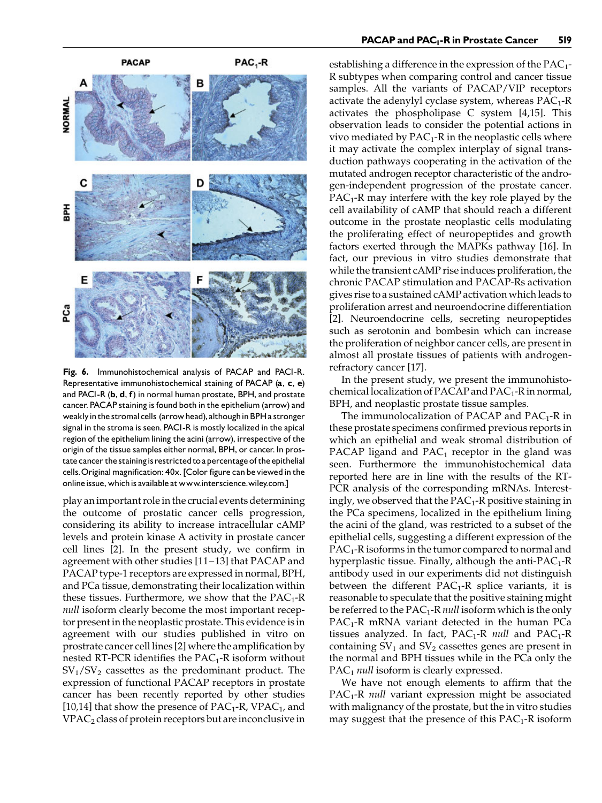

Fig. 6. Immunohistochemical analysis of PACAP and PACI-R. Representative immunohistochemical staining of PACAP (a, c, e) and PACI-R (b, d, f) in normal human prostate, BPH, and prostate cancer. PACAP staining is found both in the epithelium (arrow) and weakly in the stromal cells (arrow head), although in BPH a stronger signal in the stroma is seen. PAC1-R is mostly localized in the apical region of the epithelium lining the acini (arrow), irrespective of the origin of the tissue samples either normal, BPH, or cancer. In prostate cancer the staining is restricted to a percentage of the epithelial cells. Original magnification: 40x. [Color figure can be viewed in the online issue, which is available at www.interscience.wiley.com.]

play an important role in the crucial events determining the outcome of prostatic cancer cells progression, considering its ability to increase intracellular cAMP levels and protein kinase A activity in prostate cancer cell lines [2]. In the present study, we confirm in agreement with other studies [11–13] that PACAP and PACAP type-1 receptors are expressed in normal, BPH, and PCa tissue, demonstrating their localization within these tissues. Furthermore, we show that the  $PAC_1-R$ null isoform clearly become the most important receptor present in the neoplastic prostate. This evidence is in agreement with our studies published in vitro on prostrate cancer cell lines [2] where the amplification by nested RT-PCR identifies the  $PAC_1-R$  isoform without  $SV_1/SV_2$  cassettes as the predominant product. The expression of functional PACAP receptors in prostate cancer has been recently reported by other studies [10,14] that show the presence of  $PAC_1$ -R,  $VPAC_1$ , and  $VPAC<sub>2</sub>$  class of protein receptors but are inconclusive in

establishing a difference in the expression of the  $PAC_1$ -R subtypes when comparing control and cancer tissue samples. All the variants of PACAP/VIP receptors activate the adenylyl cyclase system, whereas  $PAC_1-R$ activates the phospholipase C system [4,15]. This observation leads to consider the potential actions in vivo mediated by  $PAC_1-R$  in the neoplastic cells where it may activate the complex interplay of signal transduction pathways cooperating in the activation of the mutated androgen receptor characteristic of the androgen-independent progression of the prostate cancer.  $PAC_1-R$  may interfere with the key role played by the cell availability of cAMP that should reach a different outcome in the prostate neoplastic cells modulating the proliferating effect of neuropeptides and growth factors exerted through the MAPKs pathway [16]. In fact, our previous in vitro studies demonstrate that while the transient cAMP rise induces proliferation, the chronic PACAP stimulation and PACAP-Rs activation gives rise to a sustained cAMP activation which leads to proliferation arrest and neuroendocrine differentiation [2]. Neuroendocrine cells, secreting neuropeptides such as serotonin and bombesin which can increase the proliferation of neighbor cancer cells, are present in almost all prostate tissues of patients with androgenrefractory cancer [17].

In the present study, we present the immunohistochemical localization of PACAP and  $PAC_1$ -R in normal, BPH, and neoplastic prostate tissue samples.

The immunolocalization of PACAP and  $PAC_1-R$  in these prostate specimens confirmed previous reports in which an epithelial and weak stromal distribution of PACAP ligand and  $PAC_1$  receptor in the gland was seen. Furthermore the immunohistochemical data reported here are in line with the results of the RT-PCR analysis of the corresponding mRNAs. Interestingly, we observed that the  $PAC_1$ -R positive staining in the PCa specimens, localized in the epithelium lining the acini of the gland, was restricted to a subset of the epithelial cells, suggesting a different expression of the  $PAC_1-R$  isoforms in the tumor compared to normal and hyperplastic tissue. Finally, although the anti- $PAC_1-R$ antibody used in our experiments did not distinguish between the different  $PAC_1-R$  splice variants, it is reasonable to speculate that the positive staining might be referred to the  $PAC_1$ -R *null* isoform which is the only  $PAC_1-R$  mRNA variant detected in the human PCa tissues analyzed. In fact,  $PAC_1-R$  null and  $PAC_1-R$ containing  $SV_1$  and  $SV_2$  cassettes genes are present in the normal and BPH tissues while in the PCa only the  $PAC<sub>1</sub>$  null isoform is clearly expressed.

We have not enough elements to affirm that the  $PAC_1-R$  *null* variant expression might be associated with malignancy of the prostate, but the in vitro studies may suggest that the presence of this  $PAC_1-R$  isoform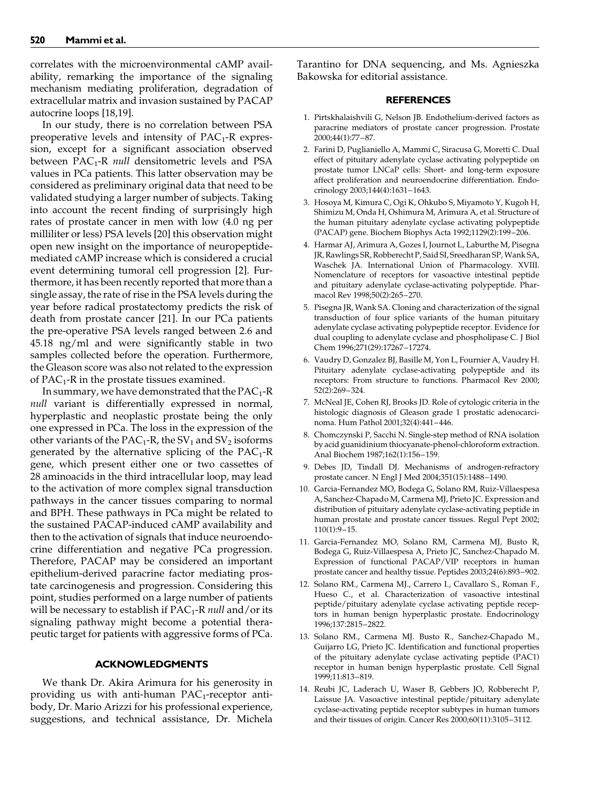correlates with the microenvironmental cAMP availability, remarking the importance of the signaling mechanism mediating proliferation, degradation of extracellular matrix and invasion sustained by PACAP autocrine loops [18,19].

In our study, there is no correlation between PSA preoperative levels and intensity of  $PAC_1-R$  expression, except for a significant association observed between  $PAC_1-R$  null densitometric levels and PSA values in PCa patients. This latter observation may be considered as preliminary original data that need to be validated studying a larger number of subjects. Taking into account the recent finding of surprisingly high rates of prostate cancer in men with low (4.0 ng per milliliter or less) PSA levels [20] this observation might open new insight on the importance of neuropeptidemediated cAMP increase which is considered a crucial event determining tumoral cell progression [2]. Furthermore, it has been recently reported that more than a single assay, the rate of rise in the PSA levels during the year before radical prostatectomy predicts the risk of death from prostate cancer [21]. In our PCa patients the pre-operative PSA levels ranged between 2.6 and 45.18 ng/ml and were significantly stable in two samples collected before the operation. Furthermore, the Gleason score was also not related to the expression of  $PAC_1-R$  in the prostate tissues examined.

In summary, we have demonstrated that the  $PAC_1-R$ null variant is differentially expressed in normal, hyperplastic and neoplastic prostate being the only one expressed in PCa. The loss in the expression of the other variants of the  $PAC_1-R$ , the SV<sub>1</sub> and SV<sub>2</sub> isoforms generated by the alternative splicing of the  $PAC_1-R$ gene, which present either one or two cassettes of 28 aminoacids in the third intracellular loop, may lead to the activation of more complex signal transduction pathways in the cancer tissues comparing to normal and BPH. These pathways in PCa might be related to the sustained PACAP-induced cAMP availability and then to the activation of signals that induce neuroendocrine differentiation and negative PCa progression. Therefore, PACAP may be considered an important epithelium-derived paracrine factor mediating prostate carcinogenesis and progression. Considering this point, studies performed on a large number of patients will be necessary to establish if  $PAC_1-R$  null and/or its signaling pathway might become a potential therapeutic target for patients with aggressive forms of PCa.

## ACKNOWLEDGMENTS

We thank Dr. Akira Arimura for his generosity in providing us with anti-human  $PAC_1$ -receptor antibody, Dr. Mario Arizzi for his professional experience, suggestions, and technical assistance, Dr. Michela Tarantino for DNA sequencing, and Ms. Agnieszka Bakowska for editorial assistance.

## **REFERENCES**

- 1. Pirtskhalaishvili G, Nelson JB. Endothelium-derived factors as paracrine mediators of prostate cancer progression. Prostate 2000;44(1):77–87.
- 2. Farini D, Puglianiello A, Mammi C, Siracusa G, Moretti C. Dual effect of pituitary adenylate cyclase activating polypeptide on prostate tumor LNCaP cells: Short- and long-term exposure affect proliferation and neuroendocrine differentiation. Endocrinology 2003;144(4):1631–1643.
- 3. Hosoya M, Kimura C, Ogi K, Ohkubo S, Miyamoto Y, Kugoh H, Shimizu M, Onda H, Oshimura M, Arimura A, et al. Structure of the human pituitary adenylate cyclase activating polypeptide (PACAP) gene. Biochem Biophys Acta 1992;1129(2):199–206.
- 4. Harmar AJ, Arimura A, Gozes I, Journot L, Laburthe M, Pisegna JR, Rawlings SR, Robberecht P, Said SI, Sreedharan SP,Wank SA, Waschek JA. International Union of Pharmacology. XVIII. Nomenclature of receptors for vasoactive intestinal peptide and pituitary adenylate cyclase-activating polypeptide. Pharmacol Rev 1998;50(2):265–270.
- 5. Pisegna JR, Wank SA. Cloning and characterization of the signal transduction of four splice variants of the human pituitary adenylate cyclase activating polypeptide receptor. Evidence for dual coupling to adenylate cyclase and phospholipase C. J Biol Chem 1996;271(29):17267–17274.
- 6. Vaudry D, Gonzalez BJ, Basille M, Yon L, Fournier A, Vaudry H. Pituitary adenylate cyclase-activating polypeptide and its receptors: From structure to functions. Pharmacol Rev 2000; 52(2):269–324.
- 7. McNeal JE, Cohen RJ, Brooks JD. Role of cytologic criteria in the histologic diagnosis of Gleason grade 1 prostatic adenocarcinoma. Hum Pathol 2001;32(4):441–446.
- 8. Chomczynski P, Sacchi N. Single-step method of RNA isolation by acid guanidinium thiocyanate-phenol-chloroform extraction. Anal Biochem 1987;162(1):156–159.
- 9. Debes JD, Tindall DJ. Mechanisms of androgen-refractory prostate cancer. N Engl J Med 2004;351(15):1488–1490.
- 10. Garcia-Fernandez MO, Bodega G, Solano RM, Ruiz-Villaespesa A, Sanchez-Chapado M, Carmena MJ, Prieto JC. Expression and distribution of pituitary adenylate cyclase-activating peptide in human prostate and prostate cancer tissues. Regul Pept 2002; 110(1):9–15.
- 11. Garcia-Fernandez MO, Solano RM, Carmena MJ, Busto R, Bodega G, Ruiz-Villaespesa A, Prieto JC, Sanchez-Chapado M. Expression of functional PACAP/VIP receptors in human prostate cancer and healthy tissue. Peptides 2003;24(6):893–902.
- 12. Solano RM., Carmena MJ., Carrero I., Cavallaro S., Roman F., Hueso C., et al. Characterization of vasoactive intestinal peptide/pituitary adenylate cyclase activating peptide receptors in human benign hyperplastic prostate. Endocrinology 1996;137:2815–2822.
- 13. Solano RM., Carmena MJ. Busto R., Sanchez-Chapado M., Guijarro LG, Prieto JC. Identification and functional properties of the pituitary adenylate cyclase activating peptide (PAC1) receptor in human benign hyperplastic prostate. Cell Signal 1999;11:813–819.
- 14. Reubi JC, Laderach U, Waser B, Gebbers JO, Robberecht P, Laissue JA. Vasoactive intestinal peptide/pituitary adenylate cyclase-activating peptide receptor subtypes in human tumors and their tissues of origin. Cancer Res 2000;60(11):3105–3112.